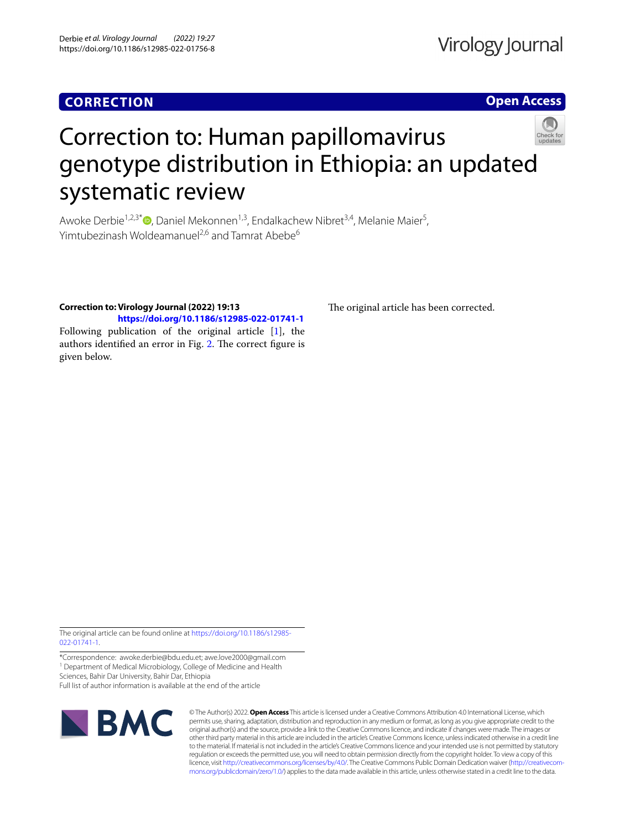# **CORRECTION**

**Open Access**



# Correction to: Human papillomavirus genotype distribution in Ethiopia: an updated systematic review

Awoke Derbie<sup>1,2,3[\\*](http://orcid.org/0000-0002-6949-3494)</sup>®, Daniel Mekonnen<sup>1,3</sup>, Endalkachew Nibret<sup>3,4</sup>, Melanie Maier<sup>5</sup>, Yimtubezinash Woldeamanuel<sup>2,6</sup> and Tamrat Abebe<sup>6</sup>

# **Correction to: Virology Journal (2022) 19:13**

**<https://doi.org/10.1186/s12985-022-01741-1>** Following publication of the original article [\[1\]](#page-1-0), the authors identified an error in Fig. [2](#page-1-1). The correct figure is given below.

The original article has been corrected.

The original article can be found online at [https://doi.org/10.1186/s12985-](https://doi.org/10.1186/s12985-022-01741-1) [022-01741-1](https://doi.org/10.1186/s12985-022-01741-1).

\*Correspondence: awoke.derbie@bdu.edu.et; awe.love2000@gmail.com <sup>1</sup> Department of Medical Microbiology, College of Medicine and Health

Sciences, Bahir Dar University, Bahir Dar, Ethiopia

Full list of author information is available at the end of the article



© The Author(s) 2022. **Open Access** This article is licensed under a Creative Commons Attribution 4.0 International License, which permits use, sharing, adaptation, distribution and reproduction in any medium or format, as long as you give appropriate credit to the original author(s) and the source, provide a link to the Creative Commons licence, and indicate if changes were made. The images or other third party material in this article are included in the article's Creative Commons licence, unless indicated otherwise in a credit line to the material. If material is not included in the article's Creative Commons licence and your intended use is not permitted by statutory regulation or exceeds the permitted use, you will need to obtain permission directly from the copyright holder. To view a copy of this licence, visit [http://creativecommons.org/licenses/by/4.0/.](http://creativecommons.org/licenses/by/4.0/) The Creative Commons Public Domain Dedication waiver ([http://creativecom](http://creativecommons.org/publicdomain/zero/1.0/)[mons.org/publicdomain/zero/1.0/\)](http://creativecommons.org/publicdomain/zero/1.0/) applies to the data made available in this article, unless otherwise stated in a credit line to the data.